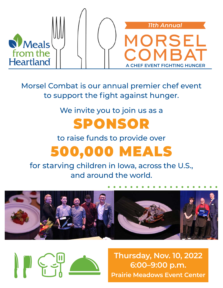

Morsel Combat is our annual premier chef event to support the fight against hunger.

#### We invite you to join us as a

#### SPONSOR

#### to raise funds to provide over 500,000 MEALS

for starving children in Iowa, across the U.S., and around the world.





**Thursday, Nov. 10, 2022 6:00–9:00 p.m. Prairie Meadows Event Center**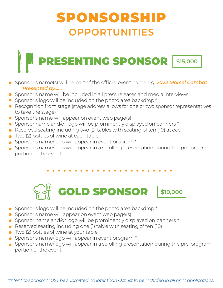#### SPONSORSHIP **OPPORTUNITIES**

# PRESENTING SPONSOR \$15,000

- Sponsor's name(s) will be part of the official event name e.g. *2022 Morsel Combat Presented by……*
- Sponsor's name will be included in all press releases and media interviews
- Sponsor's logo will be included on the photo area backdrop \*
- Recognition from stage (stage address allows for one or two sponsor representatives to take the stage)
- Sponsor's name will appear on event web page(s)
- Sponsor name and/or logo will be prominently displayed on banners \*
- Reserved seating including two (2) tables with seating of ten (10) at each
- Two (2) bottles of wine at each table
- Sponsor's name/logo will appear in event program \*
- Sponsor's name/logo will appear in a scrolling presentation during the pre-program portion of the event

## GOLD SPONSOR \$10,000

- Sponsor's logo will be included on the photo area backdrop \*
- Sponsor's name will appear on event web page(s)
- Sponsor name and/or logo will be prominently displayed on banners \*
- Reserved seating including one (1) table with seating of ten (10)
- Two (2) bottles of wine at your table
- Sponsor's name/logo will appear in event program \*
- Sponsor's name/logo will appear in a scrolling presentation during the pre-program portion of the event